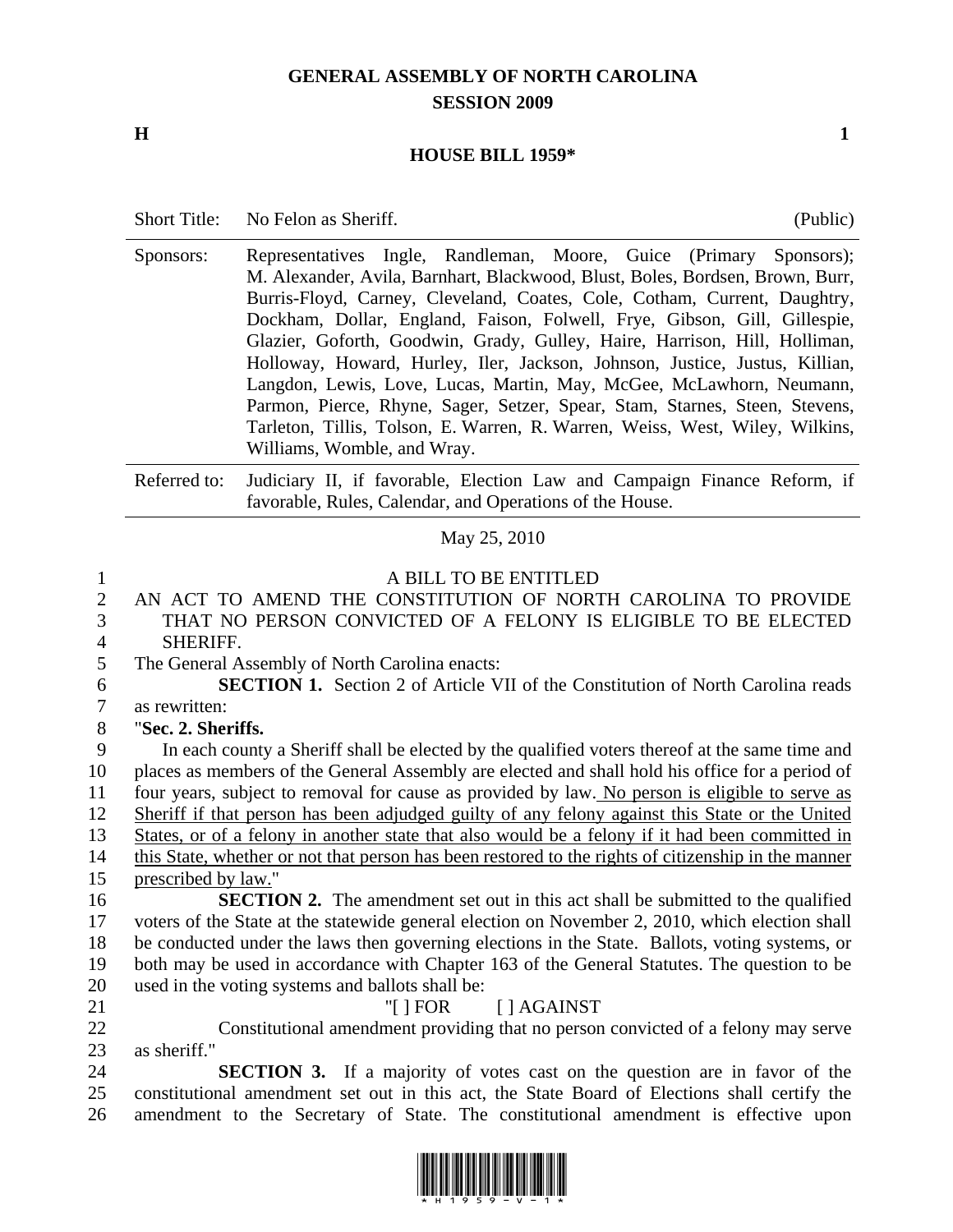## **GENERAL ASSEMBLY OF NORTH CAROLINA SESSION 2009**

## **H** 1

## **HOUSE BILL 1959\***

| <b>Short Title:</b> | No Felon as Sheriff. | (Public) |
|---------------------|----------------------|----------|
|---------------------|----------------------|----------|

Sponsors: Representatives Ingle, Randleman, Moore, Guice (Primary Sponsors); M. Alexander, Avila, Barnhart, Blackwood, Blust, Boles, Bordsen, Brown, Burr, Burris-Floyd, Carney, Cleveland, Coates, Cole, Cotham, Current, Daughtry, Dockham, Dollar, England, Faison, Folwell, Frye, Gibson, Gill, Gillespie, Glazier, Goforth, Goodwin, Grady, Gulley, Haire, Harrison, Hill, Holliman, Holloway, Howard, Hurley, Iler, Jackson, Johnson, Justice, Justus, Killian, Langdon, Lewis, Love, Lucas, Martin, May, McGee, McLawhorn, Neumann, Parmon, Pierce, Rhyne, Sager, Setzer, Spear, Stam, Starnes, Steen, Stevens, Tarleton, Tillis, Tolson, E. Warren, R. Warren, Weiss, West, Wiley, Wilkins, Williams, Womble, and Wray.

Referred to: Judiciary II, if favorable, Election Law and Campaign Finance Reform, if favorable, Rules, Calendar, and Operations of the House.

May 25, 2010

## 1 A BILL TO BE ENTITLED

2 AN ACT TO AMEND THE CONSTITUTION OF NORTH CAROLINA TO PROVIDE 3 THAT NO PERSON CONVICTED OF A FELONY IS ELIGIBLE TO BE ELECTED 4 SHERIFF.

6 **SECTION 1.** Section 2 of Article VII of the Constitution of North Carolina reads 7 as rewritten:

9 In each county a Sheriff shall be elected by the qualified voters thereof at the same time and 10 places as members of the General Assembly are elected and shall hold his office for a period of 11 four years, subject to removal for cause as provided by law. No person is eligible to serve as 12 Sheriff if that person has been adjudged guilty of any felony against this State or the United 13 States, or of a felony in another state that also would be a felony if it had been committed in 14 this State, whether or not that person has been restored to the rights of citizenship in the manner

**SECTION 2.** The amendment set out in this act shall be submitted to the qualified 17 voters of the State at the statewide general election on November 2, 2010, which election shall 18 be conducted under the laws then governing elections in the State. Ballots, voting systems, or 19 both may be used in accordance with Chapter 163 of the General Statutes. The question to be 20 used in the voting systems and ballots shall be:

21 "[ ] FOR [ ] AGAINST

22 Constitutional amendment providing that no person convicted of a felony may serve 23 as sheriff."

24 **SECTION 3.** If a majority of votes cast on the question are in favor of the 25 constitutional amendment set out in this act, the State Board of Elections shall certify the 26 amendment to the Secretary of State. The constitutional amendment is effective upon